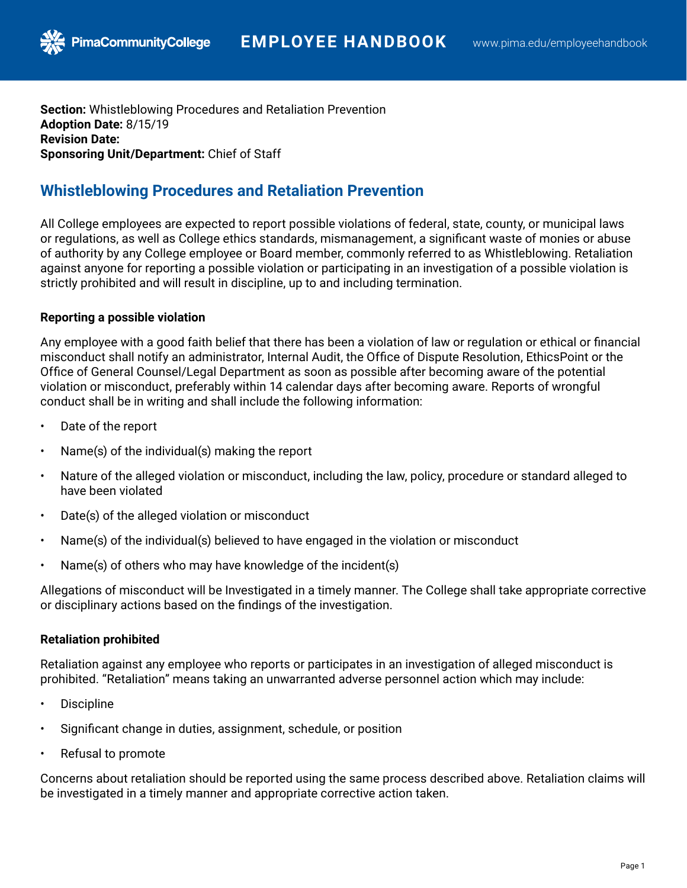**Section:** Whistleblowing Procedures and Retaliation Prevention **Adoption Date:** 8/15/19 **Revision Date: Sponsoring Unit/Department:** Chief of Staff

## **Whistleblowing Procedures and Retaliation Prevention**

All College employees are expected to report possible violations of federal, state, county, or municipal laws or regulations, as well as College ethics standards, mismanagement, a significant waste of monies or abuse of authority by any College employee or Board member, commonly referred to as Whistleblowing. Retaliation against anyone for reporting a possible violation or participating in an investigation of a possible violation is strictly prohibited and will result in discipline, up to and including termination.

## **Reporting a possible violation**

Any employee with a good faith belief that there has been a violation of law or regulation or ethical or financial misconduct shall notify an administrator, Internal Audit, the Office of Dispute Resolution, EthicsPoint or the Office of General Counsel/Legal Department as soon as possible after becoming aware of the potential violation or misconduct, preferably within 14 calendar days after becoming aware. Reports of wrongful conduct shall be in writing and shall include the following information:

- Date of the report
- Name(s) of the individual(s) making the report
- Nature of the alleged violation or misconduct, including the law, policy, procedure or standard alleged to have been violated
- Date(s) of the alleged violation or misconduct
- Name(s) of the individual(s) believed to have engaged in the violation or misconduct
- Name(s) of others who may have knowledge of the incident(s)

Allegations of misconduct will be Investigated in a timely manner. The College shall take appropriate corrective or disciplinary actions based on the findings of the investigation.

## **Retaliation prohibited**

Retaliation against any employee who reports or participates in an investigation of alleged misconduct is prohibited. "Retaliation" means taking an unwarranted adverse personnel action which may include:

- Discipline
- Significant change in duties, assignment, schedule, or position
- Refusal to promote

Concerns about retaliation should be reported using the same process described above. Retaliation claims will be investigated in a timely manner and appropriate corrective action taken.